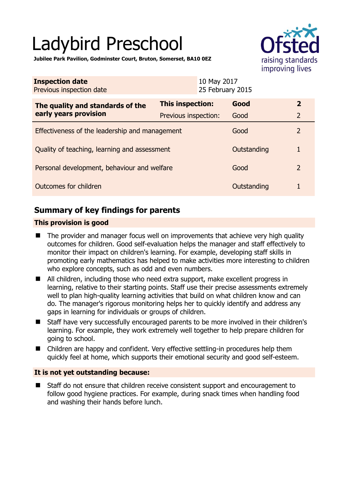# Ladybird Preschool



**Jubilee Park Pavilion, Godminster Court, Bruton, Somerset, BA10 0EZ** 

| <b>Inspection date</b><br>Previous inspection date        | 10 May 2017<br>25 February 2015 |             |                |
|-----------------------------------------------------------|---------------------------------|-------------|----------------|
| The quality and standards of the<br>early years provision | This inspection:                | Good        | $\overline{2}$ |
|                                                           | Previous inspection:            | Good        | $\overline{2}$ |
| Effectiveness of the leadership and management            |                                 | Good        | $\mathcal{P}$  |
| Quality of teaching, learning and assessment              |                                 | Outstanding |                |
| Personal development, behaviour and welfare               |                                 | Good        | $\overline{2}$ |
| Outcomes for children                                     |                                 | Outstanding |                |

# **Summary of key findings for parents**

## **This provision is good**

- The provider and manager focus well on improvements that achieve very high quality outcomes for children. Good self-evaluation helps the manager and staff effectively to monitor their impact on children's learning. For example, developing staff skills in promoting early mathematics has helped to make activities more interesting to children who explore concepts, such as odd and even numbers.
- All children, including those who need extra support, make excellent progress in learning, relative to their starting points. Staff use their precise assessments extremely well to plan high-quality learning activities that build on what children know and can do. The manager's rigorous monitoring helps her to quickly identify and address any gaps in learning for individuals or groups of children.
- Staff have very successfully encouraged parents to be more involved in their children's learning. For example, they work extremely well together to help prepare children for going to school.
- Children are happy and confident. Very effective settling-in procedures help them quickly feel at home, which supports their emotional security and good self-esteem.

# **It is not yet outstanding because:**

 Staff do not ensure that children receive consistent support and encouragement to follow good hygiene practices. For example, during snack times when handling food and washing their hands before lunch.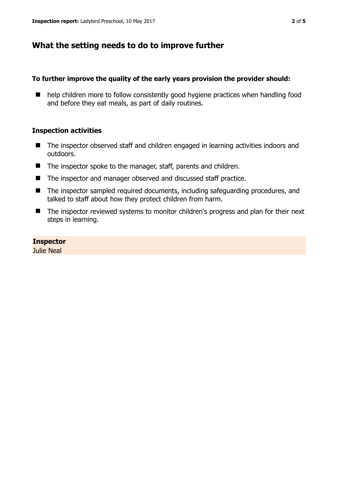# **What the setting needs to do to improve further**

#### **To further improve the quality of the early years provision the provider should:**

■ help children more to follow consistently good hygiene practices when handling food and before they eat meals, as part of daily routines.

## **Inspection activities**

- The inspector observed staff and children engaged in learning activities indoors and outdoors.
- The inspector spoke to the manager, staff, parents and children.
- The inspector and manager observed and discussed staff practice.
- The inspector sampled required documents, including safeguarding procedures, and talked to staff about how they protect children from harm.
- The inspector reviewed systems to monitor children's progress and plan for their next steps in learning.

# **Inspector**

Julie Neal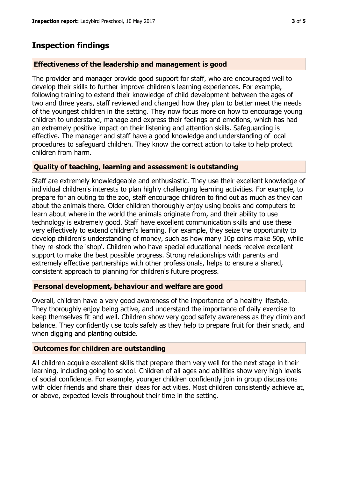# **Inspection findings**

## **Effectiveness of the leadership and management is good**

The provider and manager provide good support for staff, who are encouraged well to develop their skills to further improve children's learning experiences. For example, following training to extend their knowledge of child development between the ages of two and three years, staff reviewed and changed how they plan to better meet the needs of the youngest children in the setting. They now focus more on how to encourage young children to understand, manage and express their feelings and emotions, which has had an extremely positive impact on their listening and attention skills. Safeguarding is effective. The manager and staff have a good knowledge and understanding of local procedures to safeguard children. They know the correct action to take to help protect children from harm.

## **Quality of teaching, learning and assessment is outstanding**

Staff are extremely knowledgeable and enthusiastic. They use their excellent knowledge of individual children's interests to plan highly challenging learning activities. For example, to prepare for an outing to the zoo, staff encourage children to find out as much as they can about the animals there. Older children thoroughly enjoy using books and computers to learn about where in the world the animals originate from, and their ability to use technology is extremely good. Staff have excellent communication skills and use these very effectively to extend children's learning. For example, they seize the opportunity to develop children's understanding of money, such as how many 10p coins make 50p, while they re-stock the 'shop'. Children who have special educational needs receive excellent support to make the best possible progress. Strong relationships with parents and extremely effective partnerships with other professionals, helps to ensure a shared, consistent approach to planning for children's future progress.

#### **Personal development, behaviour and welfare are good**

Overall, children have a very good awareness of the importance of a healthy lifestyle. They thoroughly enjoy being active, and understand the importance of daily exercise to keep themselves fit and well. Children show very good safety awareness as they climb and balance. They confidently use tools safely as they help to prepare fruit for their snack, and when digging and planting outside.

# **Outcomes for children are outstanding**

All children acquire excellent skills that prepare them very well for the next stage in their learning, including going to school. Children of all ages and abilities show very high levels of social confidence. For example, younger children confidently join in group discussions with older friends and share their ideas for activities. Most children consistently achieve at, or above, expected levels throughout their time in the setting.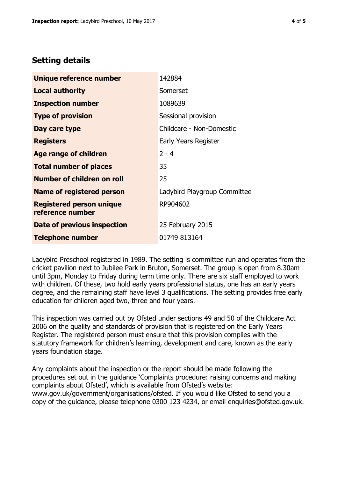# **Setting details**

| Unique reference number                             | 142884                       |  |
|-----------------------------------------------------|------------------------------|--|
| <b>Local authority</b>                              | Somerset                     |  |
| <b>Inspection number</b>                            | 1089639                      |  |
| <b>Type of provision</b>                            | Sessional provision          |  |
| Day care type                                       | Childcare - Non-Domestic     |  |
| <b>Registers</b>                                    | Early Years Register         |  |
| <b>Age range of children</b>                        | $2 - 4$                      |  |
| <b>Total number of places</b>                       | 35                           |  |
| Number of children on roll                          | 25                           |  |
| <b>Name of registered person</b>                    | Ladybird Playgroup Committee |  |
| <b>Registered person unique</b><br>reference number | RP904602                     |  |
| Date of previous inspection                         | 25 February 2015             |  |
| <b>Telephone number</b>                             | 01749 813164                 |  |

Ladybird Preschool registered in 1989. The setting is committee run and operates from the cricket pavilion next to Jubilee Park in Bruton, Somerset. The group is open from 8.30am until 3pm, Monday to Friday during term time only. There are six staff employed to work with children. Of these, two hold early years professional status, one has an early years degree, and the remaining staff have level 3 qualifications. The setting provides free early education for children aged two, three and four years.

This inspection was carried out by Ofsted under sections 49 and 50 of the Childcare Act 2006 on the quality and standards of provision that is registered on the Early Years Register. The registered person must ensure that this provision complies with the statutory framework for children's learning, development and care, known as the early years foundation stage.

Any complaints about the inspection or the report should be made following the procedures set out in the guidance 'Complaints procedure: raising concerns and making complaints about Ofsted', which is available from Ofsted's website: www.gov.uk/government/organisations/ofsted. If you would like Ofsted to send you a copy of the guidance, please telephone 0300 123 4234, or email enquiries@ofsted.gov.uk.